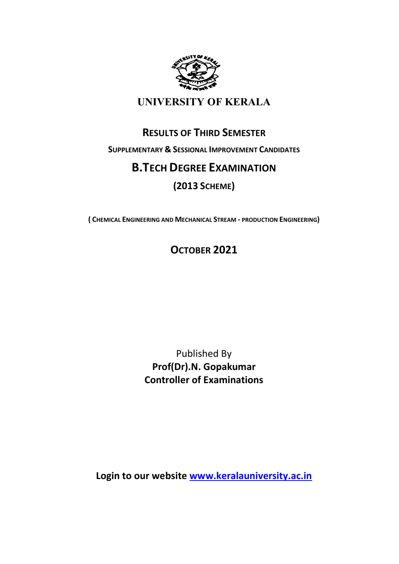

## UNIVERSITY OF KERALA

## RESULTS OF THIRD SEMESTER

SUPPLEMENTARY & SESSIONAL IMPROVEMENT CANDIDATES

## B.TECH DEGREE EXAMINATION

## (2013 SCHEME)

( CHEMICAL ENGINEERING AND MECHANICAL STREAM - PRODUCTION ENGINEERING)

# OCTOBER 2021

Published By Prof(Dr).N. Gopakumar Controller of Examinations

Login to our website www.keralauniversity.ac.in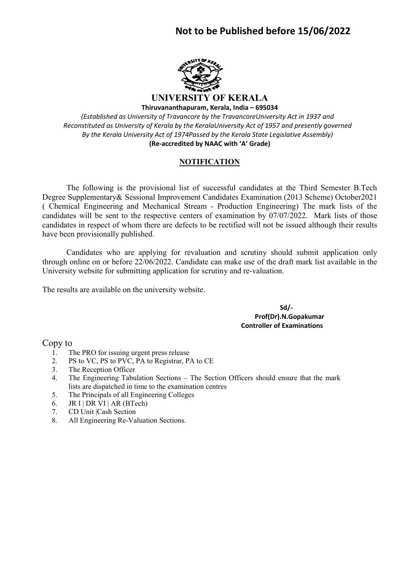## Not to be Published before 15/06/2022



UNIVERSITY OF KERALA Thiruvananthapuram, Kerala, India – 695034

(Established as University of Travancore by the TravancoreUniversity Act in 1937 and Reconstituted as University of Kerala by the KeralaUniversity Act of 1957 and presently governed By the Kerala University Act of 1974Passed by the Kerala State Legislative Assembly) (Re-accredited by NAAC with 'A' Grade)

#### **NOTIFICATION**

 The following is the provisional list of successful candidates at the Third Semester B.Tech Degree Supplementary& Sessional Improvement Candidates Examination (2013 Scheme) October2021 ( Chemical Engineering and Mechanical Stream - Production Engineering) The mark lists of the candidates will be sent to the respective centers of examination by 07/07/2022. Mark lists of those candidates in respect of whom there are defects to be rectified will not be issued although their results have been provisionally published.

 Candidates who are applying for revaluation and scrutiny should submit application only through online on or before 22/06/2022. Candidate can make use of the draft mark list available in the University website for submitting application for scrutiny and re-valuation.

The results are available on the university website.

 Sd/- Prof(Dr).N.Gopakumar Controller of Examinations

Copy to

- 1. The PRO for issuing urgent press release
- 2. PS to VC, PS to PVC, PA to Registrar, PA to CE
- 3. The Reception Officer
- 4. The Engineering Tabulation Sections The Section Officers should ensure that the mark lists are dispatched in time to the examination centres
- 5. The Principals of all Engineering Colleges
- 6. JR I | DR VI | AR (BTech)
- 7. CD Unit |Cash Section
- 8. All Engineering Re-Valuation Sections.